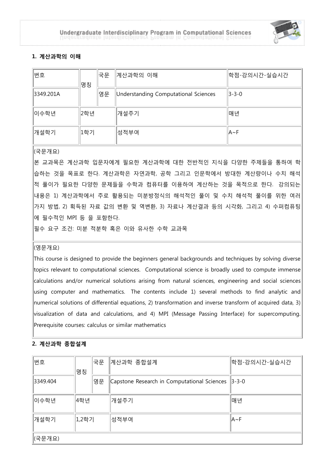

# **1. 계산과학의 이해**

| 번호        | 명칭  | 국문 | 계산과학의 이해                             | 학점-강의시간-실습시간  |
|-----------|-----|----|--------------------------------------|---------------|
| 3349.201A |     | 영문 | Understanding Computational Sciences | $ 3 - 3 - 0 $ |
| ∥이수학년     | 2학년 |    | │개설주기                                | <b>매년</b>     |
| 개설학기      | 1학기 |    | 성적부여                                 | $ A \sim F$   |

(국문개요)

본 교과목은 계산과학 입문자에게 필요한 계산과학에 대한 전반적인 지식을 다양한 주제들을 통하여 학 습하는 것을 목표로 한다. 계산과학은 자연과학, 공학 그리고 인문학에서 방대한 계산량이나 수치 해석 적 풀이가 필요한 다양한 문제들을 수학과 컴퓨터를 이용하여 계산하는 것을 목적으로 한다. 강의되는 내용은 1) 계산과학에서 주로 활용되는 미분방정식의 해석적인 풀이 및 수치 해석적 풀이를 위한 여러 가지 방법, 2) 획득된 자료 값의 변환 및 역변환, 3) 자료나 계산결과 등의 시각화, 그리고 4) 수퍼컴퓨팅 에 필수적인 MPI 등 을 포함한다.

필수 요구 조건: 미분 적분학 혹은 이와 유사한 수학 교과목

## (영문개요)

This course is designed to provide the beginners general backgrounds and techniques by solving diverse topics relevant to computational sciences. Computational science is broadly used to compute immense calculations and/or numerical solutions arising from natural sciences, engineering and social sciences using computer and mathematics. The contents include 1) several methods to find analytic and numerical solutions of differential equations, 2) transformation and inverse transform of acquired data, 3) visualization of data and calculations, and 4) MPI (Message Passing Interface) for supercomputing. Prerequisite courses: calculus or similar mathematics

# **2. 계산과학 종합설계**

| 번호       | 명칭    | 국문 | ∥계산과학 종합설계                                        | <sup>]</sup> 학점-강의시간-실습시간 |  |
|----------|-------|----|---------------------------------------------------|---------------------------|--|
| 3349.404 |       | 영문 | Capstone Research in Computational Sciences 3-3-0 |                           |  |
| 이수학년     | 4학년   |    | 개설주기                                              | <b> 매년</b>                |  |
| 개설학기     | 1,2학기 |    | 성적부여                                              | $A \sim F$                |  |
| (국문개요)   |       |    |                                                   |                           |  |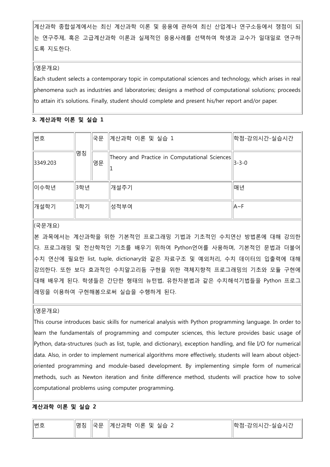계산과학 종합설계에서는 최신 계산과학 이론 및 응용에 관하여 최신 산업계나 연구소등에서 쟁점이 되 는 연구주제, 혹은 고급계산과학 이론과 실제적인 응용사례를 선택하여 학생과 교수가 일대일로 연구하 도록 지도한다.

### (영문개요)

Each student selects a contemporary topic in computational sciences and technology, which arises in real phenomena such as industries and laboratories; designs a method of computational solutions; proceeds to attain it's solutions. Finally, student should complete and present his/her report and/or paper.

## **3. 계산과학 이론 및 실습 1**

| 변호       |     | 국문 | ∥계산과학 이론 및 실습 1                               | 학점-강의시간-실습시간  |
|----------|-----|----|-----------------------------------------------|---------------|
| 3349.203 | 명칭  | 영문 | Theory and Practice in Computational Sciences | $ 3 - 3 - 0 $ |
| ∥이수학년    | 3학년 |    | 개설주기                                          | 매년            |
| │개설학기    | 1학기 |    | 성적부여                                          | $ A \sim F$   |

## (국문개요)

본 과목에서는 계산과학을 위한 기본적인 프로그래밍 기법과 기초적인 수치연산 방법론에 대해 강의한 다. 프로그래밍 및 전산학적인 기초를 배우기 위하여 Python언어를 사용하며, 기본적인 문법과 더불어 수치 연산에 필요한 list, tuple, dictionary와 같은 자료구조 및 예외처리, 수치 데이터의 입출력에 대해 강의한다. 또한 보다 효과적인 수치알고리듬 구현을 위한 객체지향적 프로그래밍의 기초와 모듈 구현에 대해 배우게 된다. 학생들은 간단한 형태의 뉴턴법, 유한차분법과 같은 수치해석기법들을 Python 프로그 래밍을 이용하여 구현해봄으로써 실습을 수행하게 된다.

## (영문개요)

This course introduces basic skills for numerical analysis with Python programming language. In order to learn the fundamentals of programming and computer sciences, this lecture provides basic usage of Python, data-structures (such as list, tuple, and dictionary), exception handling, and file I/O for numerical data. Also, in order to implement numerical algorithms more effectively, students will learn about objectoriented programming and module-based development. By implementing simple form of numerical methods, such as Newton iteration and finite difference method, students will practice how to solve computational problems using computer programming.

## **계산과학 이론 및 실습 2**

| 번호 |  | ∥명칭 ∥국문 ∥계산과학 이론 및 실습 2 | ∥학점-강의시간-실습시간 |
|----|--|-------------------------|---------------|
|    |  |                         |               |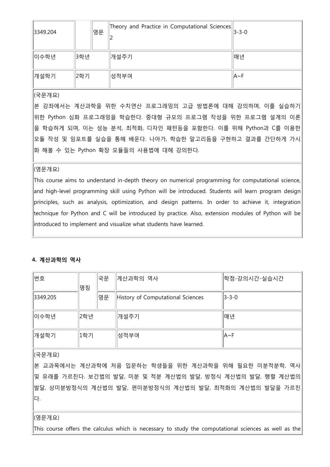| 3349.204 |     | 영문 | Theory and Practice in Computational Sciences | $\ 3 - 3 - 0\ $ |
|----------|-----|----|-----------------------------------------------|-----------------|
| ∥이수학년    | 3학년 |    | 개설주기                                          | 매년              |
| │개설학기    | 2학기 |    | 성적부여                                          | ∣lA∼F           |

본 강좌에서는 계산과학을 위한 수치연산 프로그래밍의 고급 방법론에 대해 강의하며, 이를 실습하기 위한 Python 심화 프로그래밍을 학습한다. 중대형 규모의 프로그램 작성을 위한 프로그램 설계의 이론 을 학습하게 되며, 이는 성능 분석, 최적화, 디자인 패턴등을 포함한다. 이를 위해 Python과 C를 이용한 모듈 작성 및 임포트를 실습을 통해 배운다. 나아가, 학습한 알고리듬을 구현하고 결과를 간단하게 가시 화 해볼 수 있는 Python 확장 모듈들의 사용법에 대해 강의한다.

### (영문개요)

This course aims to understand in-depth theory on numerical programming for computational science, and high-level programming skill using Python will be introduced. Students will learn program design principles, such as analysis, optimization, and design patterns. In order to achieve it, integration technique for Python and C will be introduced by practice. Also, extension modules of Python will be introduced to implement and visualize what students have learned.

### **4. 계산과학의 역사**

| 번호       | 명칭  | 국문 | 계산과학의 역사                          | <sup>]</sup> 학점-강의시간-실습시간 |
|----------|-----|----|-----------------------------------|---------------------------|
| 3349.205 |     | 영문 | History of Computational Sciences | $  3 - 3 - 0  $           |
| ∥이수학년    | 2학년 |    | │개설주기                             | <b>매년</b>                 |
| 개설학기     | 1학기 |    | 성적부여                              | $AA \sim F$               |
|          |     |    |                                   |                           |

### (국문개요)

본 교과목에서는 계산과학에 처음 입문하는 학생들을 위한 계산과학을 위해 필요한 미분적분학, 역사 및 유래를 가르친다. 보간법의 발달, 미분 및 적분 계산법의 발달, 방정식 계산법의 발달, 행렬 계산법의 발달, 상미분방정식의 계산법의 발달, 편미분방정식의 계산법의 발달, 최적화의 계산법의 발달을 가르친 다.

### (영문개요)

This course offers the calculus which is necessary to study the computational sciences as well as the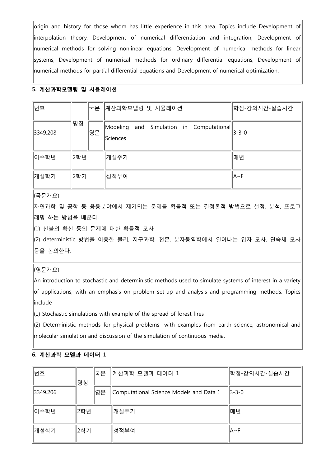origin and history for those whom has little experience in this area. Topics include Development of interpolation theory, Development of numerical differentiation and integration, Development of numerical methods for solving nonlinear equations, Development of numerical methods for linear systems, Development of numerical methods for ordinary differential equations, Development of numerical methods for partial differential equations and Development of numerical optimization.

### **5. 계산과학모델링 및 시뮬레이션**

| 변호       |     | 국문 | 계산과학모델링 및 시뮬레이션                                         | 학점-강의시간-실습시간  |
|----------|-----|----|---------------------------------------------------------|---------------|
| 3349.208 | 명칭  | 영문 | and Simulation in Computational<br>Modeling<br>Sciences | $ 3 - 3 - 0 $ |
| ∥이수학년    | 2학년 |    | 개설주기                                                    | 매년            |
| │개설학기    | 2학기 |    | 성적부여                                                    | $ A \sim F$   |

# (국문개요)

자연과학 및 공학 등 응용분야에서 제기되는 문제를 확률적 또는 결정론적 방법으로 설정, 분석, 프로그 래밍 하는 방법을 배운다.

(1) 산불의 확산 등의 문제에 대한 확률적 모사

(2) deterministic 방법을 이용한 물리, 지구과학, 천문, 분자동역학에서 일어나는 입자 모사, 연속체 모사 등을 논의한다.

## (영문개요)

An introduction to stochastic and deterministic methods used to simulate systems of interest in a variety of applications, with an emphasis on problem set-up and analysis and programming methods. Topics include

 $(1)$  Stochastic simulations with example of the spread of forest fires

 $(2)$  Deterministic methods for physical problems with examples from earth science, astronomical and molecular simulation and discussion of the simulation of continuous media.

## **6. 계산과학 모델과 데이터 1**

| 번호       | 명칭  | 국문 | 계산과학 모델과 데이터 1                          | 학점-강의시간-실습시간  |
|----------|-----|----|-----------------------------------------|---------------|
| 3349.206 |     | 영문 | Computational Science Models and Data 1 | $ 3 - 3 - 0 $ |
| 이수학년     | 2학년 |    | 개설주기                                    | 매년            |
| ∥개설학기    | 2학기 |    | 성적부여                                    | $A \sim F$    |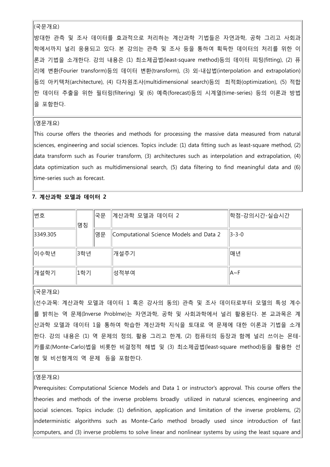방대한 관측 및 조사 데이터를 효과적으로 처리하는 계산과학 기법들은 자연과학, 공학 그리고 사회과 학에서까지 널리 응용되고 있다. 본 강의는 관측 및 조사 등을 통하여 획득한 데이터의 처리를 위한 이 론과 기법을 소개한다. 강의 내용은 (1) 최소제곱법(least-square method)등의 데이터 피팅(fitting), (2) 퓨 리에 변환(Fourier transform)등의 데이터 변환(transform), (3) 외-내삽법(interpolation and extrapolation) 등의 아키텍처(architecture), (4) 다차원조사(multidimensional search)등의 최적화(optimization), (5) 적합 한 데이터 추출을 위한 필터링(filtering) 및 (6) 예측(forecast)등의 시계열(time-series) 등의 이론과 방법 을 포함한다.

#### (영문개요)

This course offers the theories and methods for processing the massive data measured from natural sciences, engineering and social sciences. Topics include: (1) data fitting such as least-square method, (2) data transform such as Fourier transform, (3) architectures such as interpolation and extrapolation, (4) data optimization such as multidimensional search, (5) data filtering to find meaningful data and (6) time-series such as forecast.

### **7. 계산과학 모델과 데이터 2**

| 변호       | 명칭  | 국문 | ∥계산과학 모델과 데이터 2                         | 학점-강의시간-실습시간  |
|----------|-----|----|-----------------------------------------|---------------|
| 3349.305 |     | 영문 | Computational Science Models and Data 2 | $ 3 - 3 - 0 $ |
| ∥이수학년    | 3학년 |    | 개설주기                                    | 매년            |
| 개설학기     | 1학기 |    | 성적부여                                    | $ A \sim F$   |

### (국문개요)

(선수과목: 계산과학 모델과 데이터 1 혹은 강사의 동의) 관측 및 조사 데이터로부터 모델의 특성 계수 를 밝히는 역 문제(Inverse Problme)는 자연과학, 공학 및 사회과학에서 널리 활용된다. 본 교과목은 계 산과학 모델과 데이터 1을 통하여 학습한 계산과학 지식을 토대로 역 문제에 대한 이론과 기법을 소개 한다. 강의 내용은 (1) 역 문제의 정의, 활용 그리고 한계, (2) 컴퓨터의 등장과 함께 널리 쓰이는 몬테-카를로(Monte-Carlo)법을 비롯한 비결정적 해법 및 (3) 최소제곱법(least-square method)등을 활용한 선 형 및 비선형계의 역 문제 등을 포함한다.

### (영문개요)

Prerequisites: Computational Science Models and Data 1 or instructor's approval. This course offers the theories and methods of the inverse problems broadly utilized in natural sciences, engineering and social sciences. Topics include: (1) definition, application and limitation of the inverse problems, (2) indeterministic algorithms such as Monte-Carlo method broadly used since introduction of fast computers, and (3) inverse problems to solve linear and nonlinear systems by using the least square and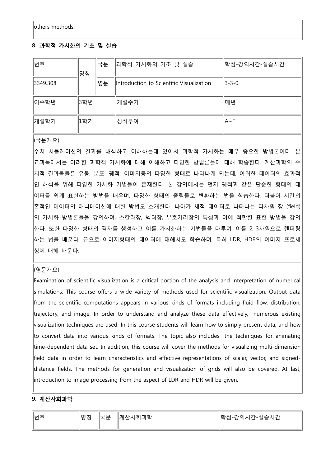others methods.

# **8. 과학적 가시화의 기초 및 실습**

| 번호       | 명칭  | 국문 | ∥과학적 가시화의 기초 및 실습                        | 학점-강의시간-실습시간  |
|----------|-----|----|------------------------------------------|---------------|
| 3349.308 |     | 영문 | Introduction to Scientific Visualization | $ 3 - 3 - 0 $ |
| ∥이수학년    | 3학년 |    | │개설주기                                    | 매년            |
| ∥개설학기    | 1학기 |    | 성적부여                                     | $ A \sim F$   |

(국문개요)

수치 시뮬레이션의 결과를 해석하고 이해하는데 있어서 과학적 가시화는 매우 중요한 방법론이다. 본 교과목에서는 이러한 과학적 가시화에 대해 이해하고 다양한 방법론들에 대해 학습한다. 계산과학의 수 치적 결과물들은 유동, 분포, 궤적, 이미지등의 다양한 형태로 나타나게 되는데, 이러한 데이터의 효과적 인 해석을 위해 다양한 가시화 기법들이 존재한다. 본 강의에서는 먼저 궤적과 같은 단순한 형태의 데 이터를 쉽게 표현하는 방법을 배우며, 다양한 형태의 출력물로 변환하는 법을 학습한다. 더불어 시간의 존적인 데이터의 애니메이션에 대한 방법도 소개한다. 나아가 체적 데이터로 나타나는 다차원 장 (field) 의 가시화 방법론들을 강의하며, 스칼라장, 벡터장, 부호거리장의 특성과 이에 적합한 표현 방법을 강의 한다. 또한 다양한 형태의 격자를 생성하고 이를 가시화하는 기법들을 다루며, 이를 2, 3차원으로 렌더링 하는 법을 배운다. 끝으로 이미지형태의 데이터에 대해서도 학습하며, 특히 LDR, HDR의 이미지 프로세 싱에 대해 배운다.

## (영문개요)

Examination of scientific visualization is a critical portion of the analysis and interpretation of numerical simulations. This course offers a wide variety of methods used for scientific visualization. Output data from the scientific computations appears in various kinds of formats including fluid flow, distribution, trajectory, and image. In order to understand and analyze these data effectively, numerous existing visualization techniques are used. In this course students will learn how to simply present data, and how to convert data into various kinds of formats. The topic also includes the techniques for animating time-dependent data set. In addition, this course will cover the methods for visualizing multi-dimension field data in order to learn characteristics and effective representations of scalar, vector, and signeddistance fields. The methods for generation and visualization of grids will also be covered. At last, introduction to image processing from the aspect of LDR and HDR will be given.

## **9. 계산사회과학**

| ∥⊭ ㅎ<br>ٮ<br>.<br>__ | $-4 + 1$<br>  내 시<br>$\sim$<br>O O | -<br>ᅩ<br>. .<br>– | . 과학<br>』계산<br>. YF OT | $\overline{\phantom{0}}$<br>히<br>省古<br>่∧≀∢<br>-----<br>□<br>-<br>∸ |
|----------------------|------------------------------------|--------------------|------------------------|---------------------------------------------------------------------|
|                      |                                    |                    |                        |                                                                     |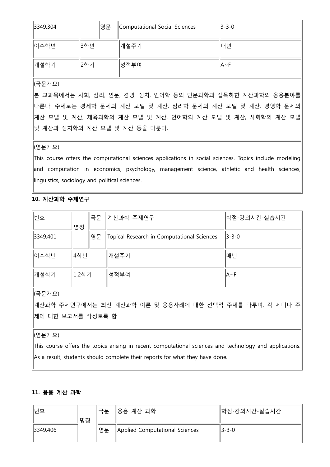| 3349.304 |      | 영문 | Computational Social Sciences | $  3-3-0$ |
|----------|------|----|-------------------------------|-----------|
| ∥이수학년    | 3학년  |    | │개설주기                         | 배년        |
| ∥개설학기    | ∥2학기 |    | ∥성적부여                         | ∣lA∼F     |

본 교과목에서는 사회, 심리, 인문, 경영, 정치, 언어학 등의 인문과학과 접목하한 계산과학의 응용분야를 다룬다. 주제로는 경제학 문제의 계산 모델 및 계산, 심리학 문제의 계산 모델 및 계산, 경영학 문제의 계산 모델 및 계산, 체육과학의 계산 모델 및 계산, 언어학의 계산 모델 및 계산, 사회학의 계산 모델 및 계산과 정치학의 계산 모델 및 계산 등을 다룬다.

### (영문개요)

This course offers the computational sciences applications in social sciences. Topics include modeling and computation in economics, psychology, management science, athletic and health sciences, linguistics, sociology and political sciences.

# **10. 계산과학 주제연구**

| 번호       | 명칭    | 국문 | ∥계산과학 주제연구                                 | 학점-강의시간-실습시간  |
|----------|-------|----|--------------------------------------------|---------------|
| 3349.401 |       | 영문 | Topical Research in Computational Sciences | $ 3 - 3 - 0 $ |
| ∥이수학년    | 4학년   |    | 개설주기                                       | │매년           |
| 개설학기     | 1,2학기 |    | 성적부여                                       | $ A \sim F$   |

(국문개요)

계산과학 주제연구에서는 최신 계산과학 이론 및 응용사례에 대한 선택적 주제를 다루며, 각 세미나 주 제에 대한 보고서를 작성토록 함

## (영문개요)

This course offers the topics arising in recent computational sciences and technology and applications. As a result, students should complete their reports for what they have done.

# **11. 응용 계산 과학**

| 번호                   | 명칭 | 국문 | ∥응용 계산 과학                      | <sup>  학점-강의시간-실습시간</sup> |
|----------------------|----|----|--------------------------------|---------------------------|
| $\parallel$ 3349.406 |    | 영문 | Applied Computational Sciences | $ 3 - 3 - 0 $             |